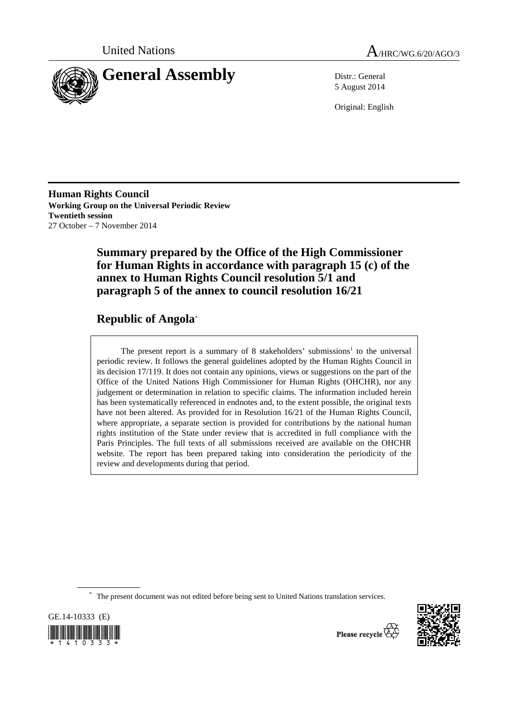



5 August 2014

Original: English

**Human Rights Council Working Group on the Universal Periodic Review Twentieth session**  27 October – 7 November 2014

# **Summary prepared by the Office of the High Commissioner for Human Rights in accordance with paragraph 15 (c) of the annex to Human Rights Council resolution 5/1 and paragraph 5 of the annex to council resolution 16/21**

# **Republic of Angola**\*

The present report is a summary of 8 stakeholders' submissions<sup>1</sup> to the universal periodic review. It follows the general guidelines adopted by the Human Rights Council in its decision 17/119. It does not contain any opinions, views or suggestions on the part of the Office of the United Nations High Commissioner for Human Rights (OHCHR), nor any judgement or determination in relation to specific claims. The information included herein has been systematically referenced in endnotes and, to the extent possible, the original texts have not been altered. As provided for in Resolution 16/21 of the Human Rights Council, where appropriate, a separate section is provided for contributions by the national human rights institution of the State under review that is accredited in full compliance with the Paris Principles. The full texts of all submissions received are available on the OHCHR website. The report has been prepared taking into consideration the periodicity of the review and developments during that period.

\* The present document was not edited before being sent to United Nations translation services.





Please recycle  $\overleftrightarrow{C}$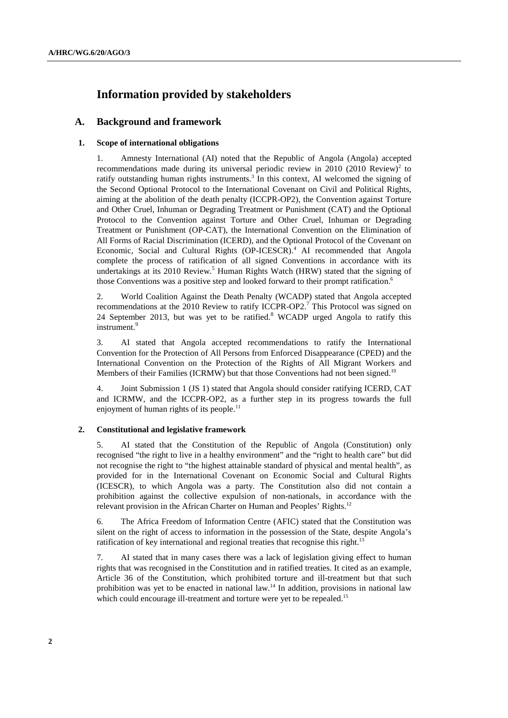# **Information provided by stakeholders**

## **A. Background and framework**

## **1. Scope of international obligations**

1. Amnesty International (AI) noted that the Republic of Angola (Angola) accepted recommendations made during its universal periodic review in 2010 (2010 Review)<sup>2</sup> to ratify outstanding human rights instruments.<sup>3</sup> In this context, AI welcomed the signing of the Second Optional Protocol to the International Covenant on Civil and Political Rights, aiming at the abolition of the death penalty (ICCPR-OP2), the Convention against Torture and Other Cruel, Inhuman or Degrading Treatment or Punishment (CAT) and the Optional Protocol to the Convention against Torture and Other Cruel, Inhuman or Degrading Treatment or Punishment (OP-CAT), the International Convention on the Elimination of All Forms of Racial Discrimination (ICERD), and the Optional Protocol of the Covenant on Economic, Social and Cultural Rights (OP-ICESCR).<sup>4</sup> AI recommended that Angola complete the process of ratification of all signed Conventions in accordance with its undertakings at its 2010 Review.<sup>5</sup> Human Rights Watch (HRW) stated that the signing of those Conventions was a positive step and looked forward to their prompt ratification.<sup>6</sup>

2. World Coalition Against the Death Penalty (WCADP) stated that Angola accepted recommendations at the 2010 Review to ratify ICCPR-OP2.<sup>7</sup> This Protocol was signed on 24 September 2013, but was yet to be ratified.<sup>8</sup> WCADP urged Angola to ratify this instrument.<sup>9</sup>

3. AI stated that Angola accepted recommendations to ratify the International Convention for the Protection of All Persons from Enforced Disappearance (CPED) and the International Convention on the Protection of the Rights of All Migrant Workers and Members of their Families (ICRMW) but that those Conventions had not been signed.<sup>10</sup>

4. Joint Submission 1 (JS 1) stated that Angola should consider ratifying ICERD, CAT and ICRMW, and the ICCPR-OP2, as a further step in its progress towards the full enjoyment of human rights of its people.<sup>11</sup>

#### **2. Constitutional and legislative framework**

5. AI stated that the Constitution of the Republic of Angola (Constitution) only recognised "the right to live in a healthy environment" and the "right to health care" but did not recognise the right to "the highest attainable standard of physical and mental health", as provided for in the International Covenant on Economic Social and Cultural Rights (ICESCR), to which Angola was a party. The Constitution also did not contain a prohibition against the collective expulsion of non-nationals, in accordance with the relevant provision in the African Charter on Human and Peoples' Rights.<sup>12</sup>

6. The Africa Freedom of Information Centre (AFIC) stated that the Constitution was silent on the right of access to information in the possession of the State, despite Angola's ratification of key international and regional treaties that recognise this right.<sup>13</sup>

7. AI stated that in many cases there was a lack of legislation giving effect to human rights that was recognised in the Constitution and in ratified treaties. It cited as an example, Article 36 of the Constitution, which prohibited torture and ill-treatment but that such prohibition was yet to be enacted in national law.<sup>14</sup> In addition, provisions in national law which could encourage ill-treatment and torture were yet to be repealed.<sup>15</sup>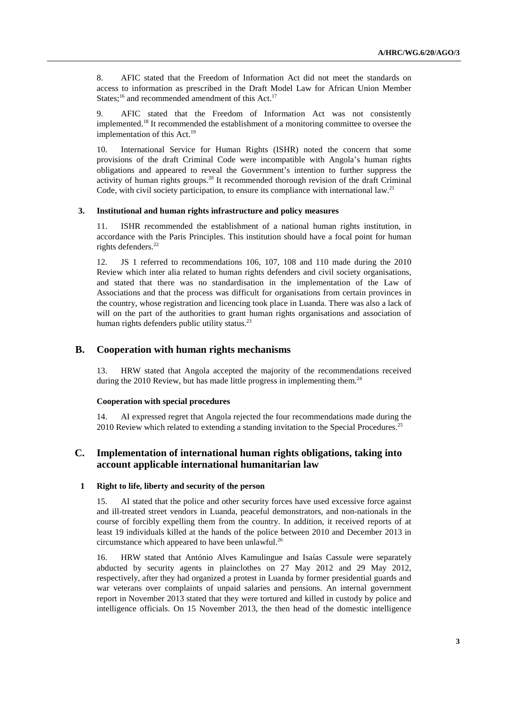8. AFIC stated that the Freedom of Information Act did not meet the standards on access to information as prescribed in the Draft Model Law for African Union Member States;<sup>16</sup> and recommended amendment of this Act.<sup>17</sup>

9. AFIC stated that the Freedom of Information Act was not consistently implemented.18 It recommended the establishment of a monitoring committee to oversee the implementation of this  $Act.<sup>19</sup>$ 

10. International Service for Human Rights (ISHR) noted the concern that some provisions of the draft Criminal Code were incompatible with Angola's human rights obligations and appeared to reveal the Government's intention to further suppress the activity of human rights groups.<sup>20</sup> It recommended thorough revision of the draft Criminal Code, with civil society participation, to ensure its compliance with international law.<sup>21</sup>

## **3. Institutional and human rights infrastructure and policy measures**

11. ISHR recommended the establishment of a national human rights institution, in accordance with the Paris Principles. This institution should have a focal point for human rights defenders.<sup>22</sup>

12. JS 1 referred to recommendations 106, 107, 108 and 110 made during the 2010 Review which inter alia related to human rights defenders and civil society organisations, and stated that there was no standardisation in the implementation of the Law of Associations and that the process was difficult for organisations from certain provinces in the country, whose registration and licencing took place in Luanda. There was also a lack of will on the part of the authorities to grant human rights organisations and association of human rights defenders public utility status. $^{23}$ 

# **B. Cooperation with human rights mechanisms**

13. HRW stated that Angola accepted the majority of the recommendations received during the  $2010$  Review, but has made little progress in implementing them.<sup>24</sup>

#### **Cooperation with special procedures**

14. AI expressed regret that Angola rejected the four recommendations made during the 2010 Review which related to extending a standing invitation to the Special Procedures.<sup>25</sup>

# **C. Implementation of international human rights obligations, taking into account applicable international humanitarian law**

#### **1 Right to life, liberty and security of the person**

15. AI stated that the police and other security forces have used excessive force against and ill-treated street vendors in Luanda, peaceful demonstrators, and non-nationals in the course of forcibly expelling them from the country. In addition, it received reports of at least 19 individuals killed at the hands of the police between 2010 and December 2013 in circumstance which appeared to have been unlawful.<sup>26</sup>

16. HRW stated that António Alves Kamulingue and Isaías Cassule were separately abducted by security agents in plainclothes on 27 May 2012 and 29 May 2012, respectively, after they had organized a protest in Luanda by former presidential guards and war veterans over complaints of unpaid salaries and pensions. An internal government report in November 2013 stated that they were tortured and killed in custody by police and intelligence officials. On 15 November 2013, the then head of the domestic intelligence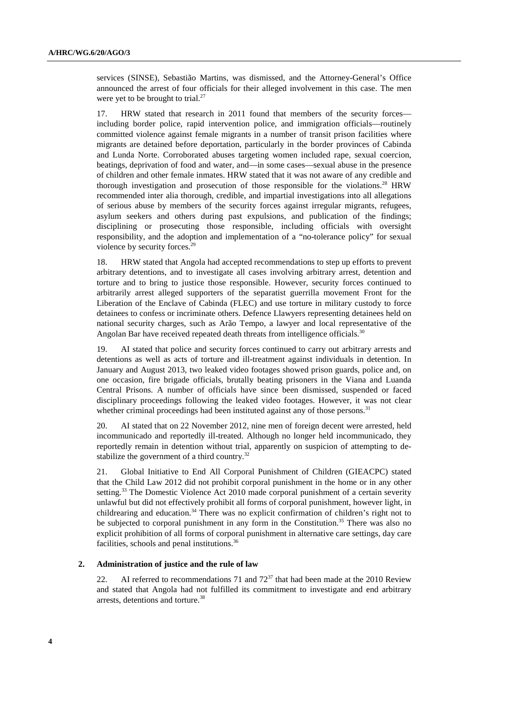services (SINSE), Sebastião Martins, was dismissed, and the Attorney-General's Office announced the arrest of four officials for their alleged involvement in this case. The men were yet to be brought to trial.<sup>27</sup>

17. HRW stated that research in 2011 found that members of the security forces including border police, rapid intervention police, and immigration officials—routinely committed violence against female migrants in a number of transit prison facilities where migrants are detained before deportation, particularly in the border provinces of Cabinda and Lunda Norte. Corroborated abuses targeting women included rape, sexual coercion, beatings, deprivation of food and water, and—in some cases—sexual abuse in the presence of children and other female inmates. HRW stated that it was not aware of any credible and thorough investigation and prosecution of those responsible for the violations.<sup>28</sup> HRW recommended inter alia thorough, credible, and impartial investigations into all allegations of serious abuse by members of the security forces against irregular migrants, refugees, asylum seekers and others during past expulsions, and publication of the findings; disciplining or prosecuting those responsible, including officials with oversight responsibility, and the adoption and implementation of a "no-tolerance policy" for sexual violence by security forces.<sup>29</sup>

18. HRW stated that Angola had accepted recommendations to step up efforts to prevent arbitrary detentions, and to investigate all cases involving arbitrary arrest, detention and torture and to bring to justice those responsible. However, security forces continued to arbitrarily arrest alleged supporters of the separatist guerrilla movement Front for the Liberation of the Enclave of Cabinda (FLEC) and use torture in military custody to force detainees to confess or incriminate others. Defence Llawyers representing detainees held on national security charges, such as Arão Tempo, a lawyer and local representative of the Angolan Bar have received repeated death threats from intelligence officials.<sup>30</sup>

19. AI stated that police and security forces continued to carry out arbitrary arrests and detentions as well as acts of torture and ill-treatment against individuals in detention. In January and August 2013, two leaked video footages showed prison guards, police and, on one occasion, fire brigade officials, brutally beating prisoners in the Viana and Luanda Central Prisons. A number of officials have since been dismissed, suspended or faced disciplinary proceedings following the leaked video footages. However, it was not clear whether criminal proceedings had been instituted against any of those persons.<sup>31</sup>

20. AI stated that on 22 November 2012, nine men of foreign decent were arrested, held incommunicado and reportedly ill-treated. Although no longer held incommunicado, they reportedly remain in detention without trial, apparently on suspicion of attempting to destabilize the government of a third country.<sup>32</sup>

21. Global Initiative to End All Corporal Punishment of Children (GIEACPC) stated that the Child Law 2012 did not prohibit corporal punishment in the home or in any other setting.<sup>33</sup> The Domestic Violence Act 2010 made corporal punishment of a certain severity unlawful but did not effectively prohibit all forms of corporal punishment, however light, in childrearing and education.<sup>34</sup> There was no explicit confirmation of children's right not to be subjected to corporal punishment in any form in the Constitution.<sup>35</sup> There was also no explicit prohibition of all forms of corporal punishment in alternative care settings, day care facilities, schools and penal institutions.<sup>36</sup>

#### **2. Administration of justice and the rule of law**

22. AI referred to recommendations 71 and  $72^{37}$  that had been made at the 2010 Review and stated that Angola had not fulfilled its commitment to investigate and end arbitrary arrests, detentions and torture.38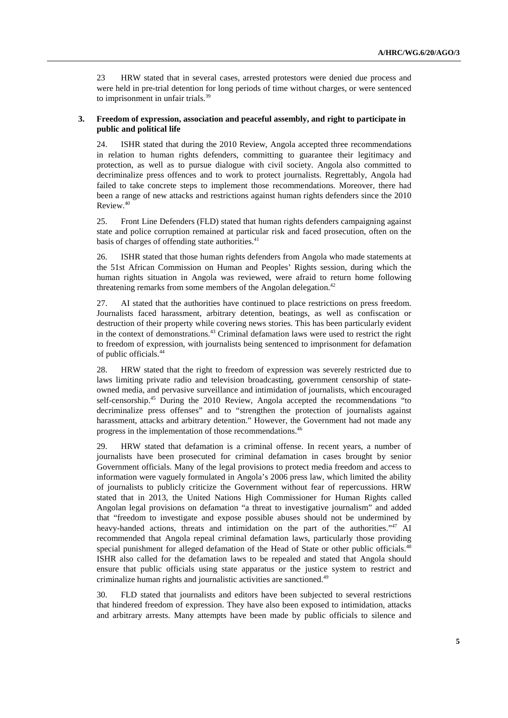23 HRW stated that in several cases, arrested protestors were denied due process and were held in pre-trial detention for long periods of time without charges, or were sentenced to imprisonment in unfair trials.<sup>39</sup>

## **3. Freedom of expression, association and peaceful assembly, and right to participate in public and political life**

24. ISHR stated that during the 2010 Review, Angola accepted three recommendations in relation to human rights defenders, committing to guarantee their legitimacy and protection, as well as to pursue dialogue with civil society. Angola also committed to decriminalize press offences and to work to protect journalists. Regrettably, Angola had failed to take concrete steps to implement those recommendations. Moreover, there had been a range of new attacks and restrictions against human rights defenders since the 2010 Review.40

25. Front Line Defenders (FLD) stated that human rights defenders campaigning against state and police corruption remained at particular risk and faced prosecution, often on the basis of charges of offending state authorities.<sup>41</sup>

26. ISHR stated that those human rights defenders from Angola who made statements at the 51st African Commission on Human and Peoples' Rights session, during which the human rights situation in Angola was reviewed, were afraid to return home following threatening remarks from some members of the Angolan delegation.<sup>42</sup>

27. AI stated that the authorities have continued to place restrictions on press freedom. Journalists faced harassment, arbitrary detention, beatings, as well as confiscation or destruction of their property while covering news stories. This has been particularly evident in the context of demonstrations.43 Criminal defamation laws were used to restrict the right to freedom of expression, with journalists being sentenced to imprisonment for defamation of public officials.44

28. HRW stated that the right to freedom of expression was severely restricted due to laws limiting private radio and television broadcasting, government censorship of stateowned media, and pervasive surveillance and intimidation of journalists, which encouraged self-censorship.45 During the 2010 Review, Angola accepted the recommendations "to decriminalize press offenses" and to "strengthen the protection of journalists against harassment, attacks and arbitrary detention." However, the Government had not made any progress in the implementation of those recommendations.46

29. HRW stated that defamation is a criminal offense. In recent years, a number of journalists have been prosecuted for criminal defamation in cases brought by senior Government officials. Many of the legal provisions to protect media freedom and access to information were vaguely formulated in Angola's 2006 press law, which limited the ability of journalists to publicly criticize the Government without fear of repercussions. HRW stated that in 2013, the United Nations High Commissioner for Human Rights called Angolan legal provisions on defamation "a threat to investigative journalism" and added that "freedom to investigate and expose possible abuses should not be undermined by heavy-handed actions, threats and intimidation on the part of the authorities."<sup>47</sup> AI recommended that Angola repeal criminal defamation laws, particularly those providing special punishment for alleged defamation of the Head of State or other public officials.<sup>48</sup> ISHR also called for the defamation laws to be repealed and stated that Angola should ensure that public officials using state apparatus or the justice system to restrict and criminalize human rights and journalistic activities are sanctioned.<sup>49</sup>

30. FLD stated that journalists and editors have been subjected to several restrictions that hindered freedom of expression. They have also been exposed to intimidation, attacks and arbitrary arrests. Many attempts have been made by public officials to silence and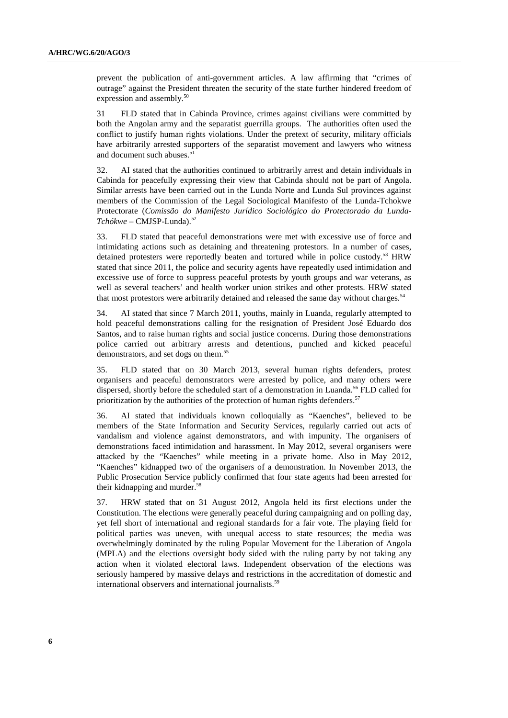prevent the publication of anti-government articles. A law affirming that "crimes of outrage" against the President threaten the security of the state further hindered freedom of expression and assembly.<sup>50</sup>

31 FLD stated that in Cabinda Province, crimes against civilians were committed by both the Angolan army and the separatist guerrilla groups. The authorities often used the conflict to justify human rights violations. Under the pretext of security, military officials have arbitrarily arrested supporters of the separatist movement and lawyers who witness and document such abuses.<sup>51</sup>

32. AI stated that the authorities continued to arbitrarily arrest and detain individuals in Cabinda for peacefully expressing their view that Cabinda should not be part of Angola. Similar arrests have been carried out in the Lunda Norte and Lunda Sul provinces against members of the Commission of the Legal Sociological Manifesto of the Lunda-Tchokwe Protectorate (*Comissão do Manifesto Jurídico Sociológico do Protectorado da Lunda-Tchókwe* – CMJSP-Lunda).52

33. FLD stated that peaceful demonstrations were met with excessive use of force and intimidating actions such as detaining and threatening protestors. In a number of cases, detained protesters were reportedly beaten and tortured while in police custody.<sup>53</sup> HRW stated that since 2011, the police and security agents have repeatedly used intimidation and excessive use of force to suppress peaceful protests by youth groups and war veterans, as well as several teachers' and health worker union strikes and other protests. HRW stated that most protestors were arbitrarily detained and released the same day without charges.<sup>54</sup>

34. AI stated that since 7 March 2011, youths, mainly in Luanda, regularly attempted to hold peaceful demonstrations calling for the resignation of President José Eduardo dos Santos, and to raise human rights and social justice concerns. During those demonstrations police carried out arbitrary arrests and detentions, punched and kicked peaceful demonstrators, and set dogs on them.<sup>55</sup>

35. FLD stated that on 30 March 2013, several human rights defenders, protest organisers and peaceful demonstrators were arrested by police, and many others were dispersed, shortly before the scheduled start of a demonstration in Luanda.<sup>56</sup> FLD called for prioritization by the authorities of the protection of human rights defenders.<sup>57</sup>

36. AI stated that individuals known colloquially as "Kaenches", believed to be members of the State Information and Security Services, regularly carried out acts of vandalism and violence against demonstrators, and with impunity. The organisers of demonstrations faced intimidation and harassment. In May 2012, several organisers were attacked by the "Kaenches" while meeting in a private home. Also in May 2012, "Kaenches" kidnapped two of the organisers of a demonstration. In November 2013, the Public Prosecution Service publicly confirmed that four state agents had been arrested for their kidnapping and murder.<sup>58</sup>

37. HRW stated that on 31 August 2012, Angola held its first elections under the Constitution. The elections were generally peaceful during campaigning and on polling day, yet fell short of international and regional standards for a fair vote. The playing field for political parties was uneven, with unequal access to state resources; the media was overwhelmingly dominated by the ruling Popular Movement for the Liberation of Angola (MPLA) and the elections oversight body sided with the ruling party by not taking any action when it violated electoral laws. Independent observation of the elections was seriously hampered by massive delays and restrictions in the accreditation of domestic and international observers and international journalists.<sup>59</sup>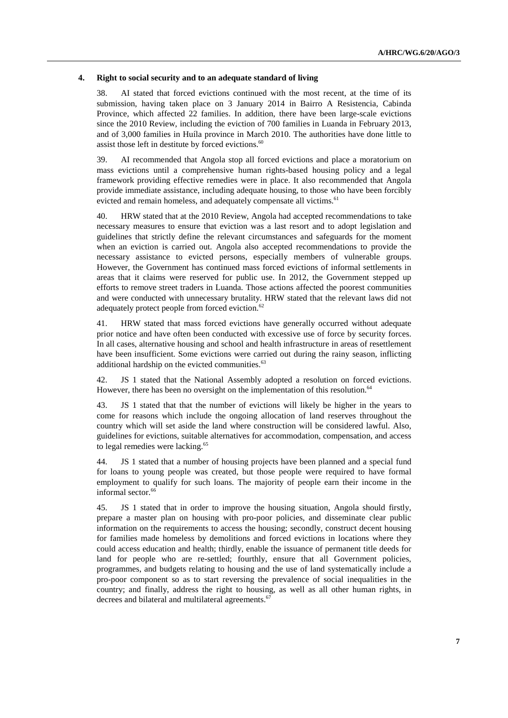#### **4. Right to social security and to an adequate standard of living**

38. AI stated that forced evictions continued with the most recent, at the time of its submission, having taken place on 3 January 2014 in Bairro A Resistencia, Cabinda Province, which affected 22 families. In addition, there have been large-scale evictions since the 2010 Review, including the eviction of 700 families in Luanda in February 2013, and of 3,000 families in Huíla province in March 2010. The authorities have done little to assist those left in destitute by forced evictions.<sup>60</sup>

39. AI recommended that Angola stop all forced evictions and place a moratorium on mass evictions until a comprehensive human rights-based housing policy and a legal framework providing effective remedies were in place. It also recommended that Angola provide immediate assistance, including adequate housing, to those who have been forcibly evicted and remain homeless, and adequately compensate all victims.<sup>61</sup>

40. HRW stated that at the 2010 Review, Angola had accepted recommendations to take necessary measures to ensure that eviction was a last resort and to adopt legislation and guidelines that strictly define the relevant circumstances and safeguards for the moment when an eviction is carried out. Angola also accepted recommendations to provide the necessary assistance to evicted persons, especially members of vulnerable groups. However, the Government has continued mass forced evictions of informal settlements in areas that it claims were reserved for public use. In 2012, the Government stepped up efforts to remove street traders in Luanda. Those actions affected the poorest communities and were conducted with unnecessary brutality. HRW stated that the relevant laws did not adequately protect people from forced eviction.<sup>62</sup>

41. HRW stated that mass forced evictions have generally occurred without adequate prior notice and have often been conducted with excessive use of force by security forces. In all cases, alternative housing and school and health infrastructure in areas of resettlement have been insufficient. Some evictions were carried out during the rainy season, inflicting additional hardship on the evicted communities.<sup>63</sup>

42. JS 1 stated that the National Assembly adopted a resolution on forced evictions. However, there has been no oversight on the implementation of this resolution.<sup>64</sup>

43. JS 1 stated that that the number of evictions will likely be higher in the years to come for reasons which include the ongoing allocation of land reserves throughout the country which will set aside the land where construction will be considered lawful. Also, guidelines for evictions, suitable alternatives for accommodation, compensation, and access to legal remedies were lacking.<sup>65</sup>

44. JS 1 stated that a number of housing projects have been planned and a special fund for loans to young people was created, but those people were required to have formal employment to qualify for such loans. The majority of people earn their income in the informal sector.<sup>66</sup>

45. JS 1 stated that in order to improve the housing situation, Angola should firstly, prepare a master plan on housing with pro-poor policies, and disseminate clear public information on the requirements to access the housing; secondly, construct decent housing for families made homeless by demolitions and forced evictions in locations where they could access education and health; thirdly, enable the issuance of permanent title deeds for land for people who are re-settled; fourthly, ensure that all Government policies, programmes, and budgets relating to housing and the use of land systematically include a pro-poor component so as to start reversing the prevalence of social inequalities in the country; and finally, address the right to housing, as well as all other human rights, in decrees and bilateral and multilateral agreements.<sup>6</sup>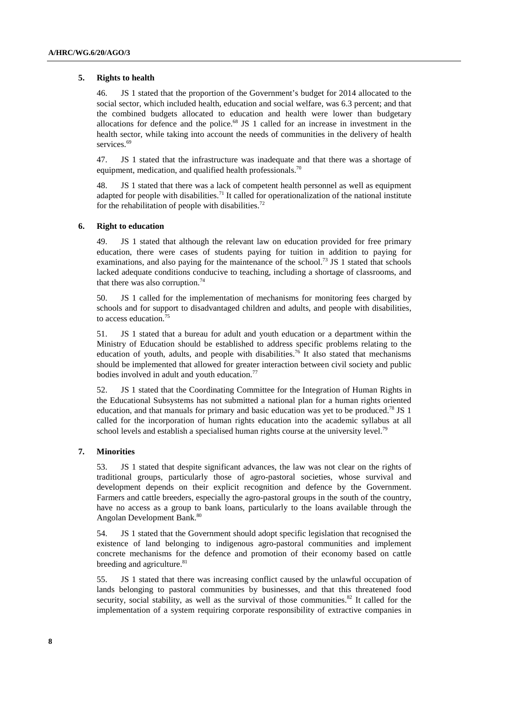### **5. Rights to health**

46. JS 1 stated that the proportion of the Government's budget for 2014 allocated to the social sector, which included health, education and social welfare, was 6.3 percent; and that the combined budgets allocated to education and health were lower than budgetary allocations for defence and the police.68 JS 1 called for an increase in investment in the health sector, while taking into account the needs of communities in the delivery of health services.<sup>69</sup>

47. JS 1 stated that the infrastructure was inadequate and that there was a shortage of equipment, medication, and qualified health professionals.<sup>70</sup>

48. JS 1 stated that there was a lack of competent health personnel as well as equipment adapted for people with disabilities.<sup>71</sup> It called for operationalization of the national institute for the rehabilitation of people with disabilities.<sup>72</sup>

#### **6. Right to education**

49. JS 1 stated that although the relevant law on education provided for free primary education, there were cases of students paying for tuition in addition to paying for examinations, and also paying for the maintenance of the school.<sup>73</sup> JS 1 stated that schools lacked adequate conditions conducive to teaching, including a shortage of classrooms, and that there was also corruption.<sup>74</sup>

50. JS 1 called for the implementation of mechanisms for monitoring fees charged by schools and for support to disadvantaged children and adults, and people with disabilities, to access education.75

51. JS 1 stated that a bureau for adult and youth education or a department within the Ministry of Education should be established to address specific problems relating to the education of youth, adults, and people with disabilities.<sup>76</sup> It also stated that mechanisms should be implemented that allowed for greater interaction between civil society and public bodies involved in adult and youth education.<sup>77</sup>

52. JS 1 stated that the Coordinating Committee for the Integration of Human Rights in the Educational Subsystems has not submitted a national plan for a human rights oriented education, and that manuals for primary and basic education was yet to be produced.<sup>78</sup> JS 1 called for the incorporation of human rights education into the academic syllabus at all school levels and establish a specialised human rights course at the university level.<sup>79</sup>

#### **7. Minorities**

53. JS 1 stated that despite significant advances, the law was not clear on the rights of traditional groups, particularly those of agro-pastoral societies, whose survival and development depends on their explicit recognition and defence by the Government. Farmers and cattle breeders, especially the agro-pastoral groups in the south of the country, have no access as a group to bank loans, particularly to the loans available through the Angolan Development Bank.80

54. JS 1 stated that the Government should adopt specific legislation that recognised the existence of land belonging to indigenous agro-pastoral communities and implement concrete mechanisms for the defence and promotion of their economy based on cattle breeding and agriculture.<sup>81</sup>

55. JS 1 stated that there was increasing conflict caused by the unlawful occupation of lands belonging to pastoral communities by businesses, and that this threatened food security, social stability, as well as the survival of those communities.<sup>82</sup> It called for the implementation of a system requiring corporate responsibility of extractive companies in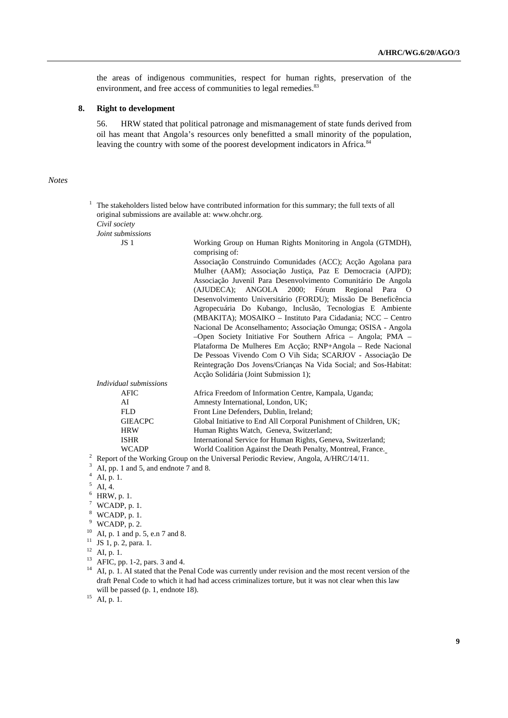the areas of indigenous communities, respect for human rights, preservation of the environment, and free access of communities to legal remedies.<sup>83</sup>

## **8. Right to development**

56. HRW stated that political patronage and mismanagement of state funds derived from oil has meant that Angola's resources only benefitted a small minority of the population, leaving the country with some of the poorest development indicators in Africa.<sup>84</sup>

## *Notes*

|  | 1<br>The stakeholders listed below have contributed information for this summary; the full texts of all<br>original submissions are available at: www.ohchr.org. |                                                                                                                                                                                                                                                                                                                                                                                                                                                             |
|--|------------------------------------------------------------------------------------------------------------------------------------------------------------------|-------------------------------------------------------------------------------------------------------------------------------------------------------------------------------------------------------------------------------------------------------------------------------------------------------------------------------------------------------------------------------------------------------------------------------------------------------------|
|  |                                                                                                                                                                  |                                                                                                                                                                                                                                                                                                                                                                                                                                                             |
|  | Civil society                                                                                                                                                    |                                                                                                                                                                                                                                                                                                                                                                                                                                                             |
|  | Joint submissions                                                                                                                                                |                                                                                                                                                                                                                                                                                                                                                                                                                                                             |
|  | JS <sub>1</sub>                                                                                                                                                  | Working Group on Human Rights Monitoring in Angola (GTMDH),<br>comprising of:<br>Associação Construindo Comunidades (ACC); Acção Agolana para<br>Mulher (AAM); Associação Justiça, Paz E Democracia (AJPD);<br>Associação Juvenil Para Desenvolvimento Comunitário De Angola<br>(AJUDECA); ANGOLA 2000; Fórum Regional Para O<br>Desenvolvimento Universitário (FORDU); Missão De Beneficência<br>Agropecuária Do Kubango, Inclusão, Tecnologias E Ambiente |
|  |                                                                                                                                                                  | (MBAKITA); MOSAIKO – Instituto Para Cidadania; NCC – Centro<br>Nacional De Aconselhamento; Associação Omunga; OSISA - Angola<br>$-$ Open Society Initiative For Southern Africa – Angola; PMA –<br>Plataforma De Mulheres Em Acção; RNP+Angola - Rede Nacional<br>De Pessoas Vivendo Com O Vih Sida; SCARJOV - Associação De<br>Reintegração Dos Jovens/Crianças Na Vida Social; and Sos-Habitat:<br>Acção Solidária (Joint Submission 1);                  |
|  | Individual submissions                                                                                                                                           |                                                                                                                                                                                                                                                                                                                                                                                                                                                             |
|  | <b>AFIC</b>                                                                                                                                                      | Africa Freedom of Information Centre, Kampala, Uganda;                                                                                                                                                                                                                                                                                                                                                                                                      |
|  | AI                                                                                                                                                               | Amnesty International, London, UK;                                                                                                                                                                                                                                                                                                                                                                                                                          |
|  | <b>FLD</b>                                                                                                                                                       | Front Line Defenders, Dublin, Ireland;                                                                                                                                                                                                                                                                                                                                                                                                                      |
|  | <b>GIEACPC</b>                                                                                                                                                   | Global Initiative to End All Corporal Punishment of Children, UK;                                                                                                                                                                                                                                                                                                                                                                                           |
|  | <b>HRW</b>                                                                                                                                                       | Human Rights Watch, Geneva, Switzerland;                                                                                                                                                                                                                                                                                                                                                                                                                    |
|  | <b>ISHR</b>                                                                                                                                                      | International Service for Human Rights, Geneva, Switzerland;                                                                                                                                                                                                                                                                                                                                                                                                |
|  | <b>WCADP</b>                                                                                                                                                     | World Coalition Against the Death Penalty, Montreal, France.                                                                                                                                                                                                                                                                                                                                                                                                |
|  | $\overline{c}$<br>Report of the Working Group on the Universal Periodic Review, Angola, A/HRC/14/11.<br>3                                                        |                                                                                                                                                                                                                                                                                                                                                                                                                                                             |
|  | AI, pp. 1 and 5, and endnote 7 and 8.                                                                                                                            |                                                                                                                                                                                                                                                                                                                                                                                                                                                             |
|  | AI, p. 1.<br>5                                                                                                                                                   |                                                                                                                                                                                                                                                                                                                                                                                                                                                             |
|  | AI, 4.                                                                                                                                                           |                                                                                                                                                                                                                                                                                                                                                                                                                                                             |

- 
- 
- $6$  HRW, p. 1.
- $7$  WCADP, p. 1.
- 8 WCADP, p. 1.
- $9$  WCADP, p. 2.
- <sup>10</sup> AI, p. 1 and p. 5, e.n 7 and 8.
- <sup>11</sup> JS 1, p. 2, para. 1.
- $12$  AI, p. 1.
- <sup>13</sup> AFIC, pp. 1-2, pars. 3 and 4.
- <sup>14</sup> AI, p. 1. AI stated that the Penal Code was currently under revision and the most recent version of the draft Penal Code to which it had had access criminalizes torture, but it was not clear when this law will be passed (p. 1, endnote 18).<br> $^{15}$  AI, p. 1.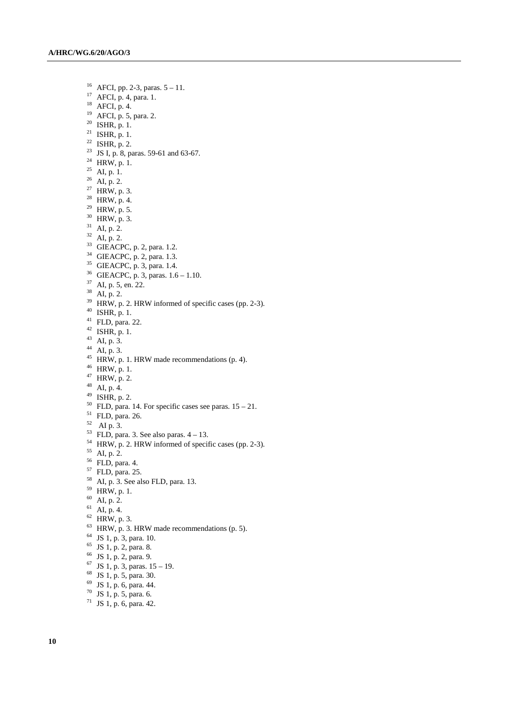16 AFCI, pp. 2-3, paras. 5 – 11. 17 AFCI, p. 4, para. 1.  $^{18}$  AFCI, p. 4. 19 AFCI, p. 5, para. 2.  $20$  ISHR, p. 1.  $^{21}$  ISHR, p. 1. <sup>22</sup> ISHR, p. 2. <sup>23</sup> JS I, p. 8, paras. 59-61 and 63-67.  $^{24}$  HRW, p. 1. <sup>25</sup> AI, p. 1.  $26$  AI, p. 2. <sup>27</sup> HRW, p. 3.  $28$  HRW, p. 4.  $^{29}$  HRW, p. 5. 30 HRW, p. 3.  $31$  AI, p. 2.  $32$  AI, p. 2.  $33$  GIEACPC, p. 2, para. 1.2. 34 GIEACPC, p. 2, para. 1.3. 35 GIEACPC, p. 3, para. 1.4. 36 GIEACPC, p. 3, paras. 1.6 – 1.10. 37 AI, p. 5, en. 22.  $38$  AI, p. 2.  $39$  HRW, p. 2. HRW informed of specific cases (pp. 2-3). 40 ISHR, p. 1.  $41$  FLD, para. 22.  $42$  ISHR, p. 1. 43 AI, p. 3.  $44$  AI, p. 3.  $45$  HRW, p. 1. HRW made recommendations (p. 4). 46 HRW, p. 1.  $47$  HRW, p. 2. 48 AI, p. 4.  $49$  ISHR, p. 2.  $50$  FLD, para. 14. For specific cases see paras.  $15 - 21$ . 51 FLD, para. 26.  $52$  AI p. 3.  $53$  FLD, para. 3. See also paras.  $4 - 13$ . 54 HRW, p. 2. HRW informed of specific cases (pp. 2-3). 55 AI, p. 2. 56 FLD, para. 4. 57 FLD, para. 25.  $58$  AI, p. 3. See also FLD, para. 13. 59 HRW, p. 1.  $60$  AI, p. 2.  $61$  AI, p. 4.  $62$  HRW, p. 3.  $63$  HRW, p. 3. HRW made recommendations (p. 5). 64 JS 1, p. 3, para. 10. 65 JS 1, p. 2, para. 8. 66 JS 1, p. 2, para. 9.  $67$  JS 1, p. 3, paras.  $15 - 19$ . 68 JS 1, p. 5, para. 30. 69 JS 1, p. 6, para. 44. 70 JS 1, p. 5, para. 6. 71 JS 1, p. 6, para. 42.